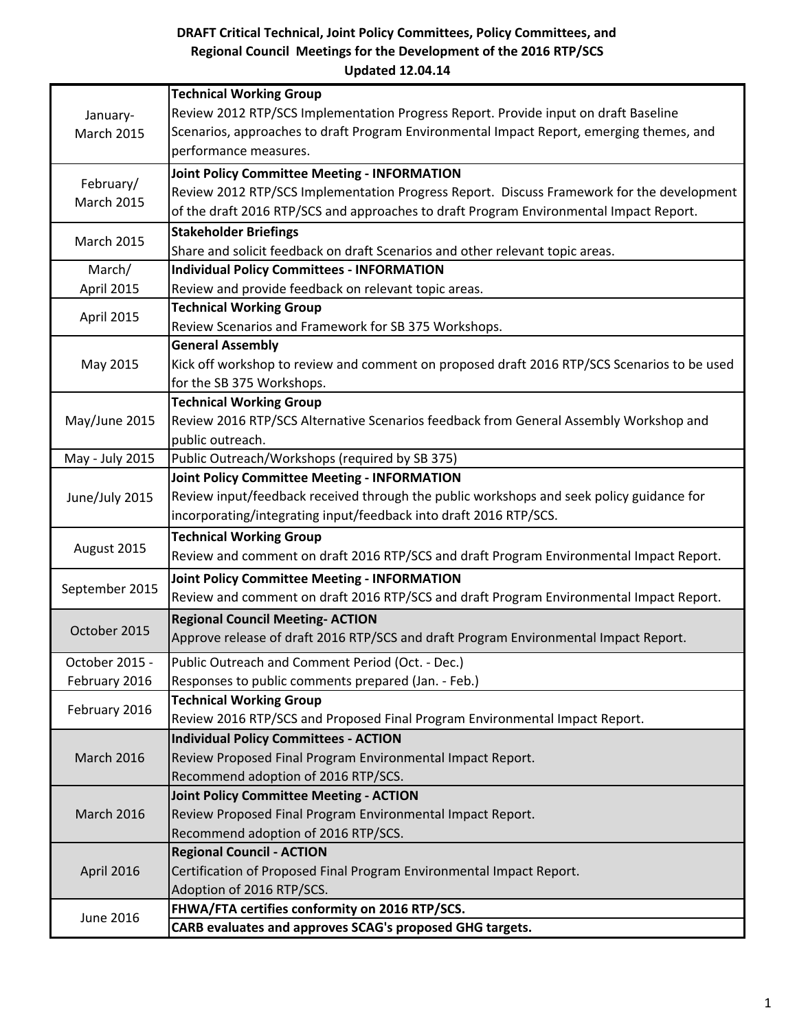## DRAFT Critical Technical, Joint Policy Committees, Policy Committees, and Regional Council Meetings for the Development of the 2016 RTP/SCS Updated 12.04.14

|                                | <b>Technical Working Group</b>                                                              |
|--------------------------------|---------------------------------------------------------------------------------------------|
| January-<br>March 2015         | Review 2012 RTP/SCS Implementation Progress Report. Provide input on draft Baseline         |
|                                | Scenarios, approaches to draft Program Environmental Impact Report, emerging themes, and    |
|                                | performance measures.                                                                       |
| February/<br><b>March 2015</b> | <b>Joint Policy Committee Meeting - INFORMATION</b>                                         |
|                                | Review 2012 RTP/SCS Implementation Progress Report. Discuss Framework for the development   |
|                                | of the draft 2016 RTP/SCS and approaches to draft Program Environmental Impact Report.      |
| <b>March 2015</b>              | <b>Stakeholder Briefings</b>                                                                |
|                                | Share and solicit feedback on draft Scenarios and other relevant topic areas.               |
| March/                         | <b>Individual Policy Committees - INFORMATION</b>                                           |
| April 2015                     | Review and provide feedback on relevant topic areas.                                        |
| April 2015                     | <b>Technical Working Group</b>                                                              |
|                                | Review Scenarios and Framework for SB 375 Workshops.                                        |
| May 2015                       | <b>General Assembly</b>                                                                     |
|                                | Kick off workshop to review and comment on proposed draft 2016 RTP/SCS Scenarios to be used |
|                                | for the SB 375 Workshops.                                                                   |
|                                | <b>Technical Working Group</b>                                                              |
| May/June 2015                  | Review 2016 RTP/SCS Alternative Scenarios feedback from General Assembly Workshop and       |
|                                | public outreach.                                                                            |
| May - July 2015                | Public Outreach/Workshops (required by SB 375)                                              |
|                                | <b>Joint Policy Committee Meeting - INFORMATION</b>                                         |
| June/July 2015                 | Review input/feedback received through the public workshops and seek policy guidance for    |
|                                | incorporating/integrating input/feedback into draft 2016 RTP/SCS.                           |
|                                | <b>Technical Working Group</b>                                                              |
| August 2015                    | Review and comment on draft 2016 RTP/SCS and draft Program Environmental Impact Report.     |
| September 2015                 | <b>Joint Policy Committee Meeting - INFORMATION</b>                                         |
|                                | Review and comment on draft 2016 RTP/SCS and draft Program Environmental Impact Report.     |
| October 2015                   | <b>Regional Council Meeting- ACTION</b>                                                     |
|                                | Approve release of draft 2016 RTP/SCS and draft Program Environmental Impact Report.        |
| October 2015 -                 | Public Outreach and Comment Period (Oct. - Dec.)                                            |
| February 2016                  | Responses to public comments prepared (Jan. - Feb.)                                         |
|                                | <b>Technical Working Group</b>                                                              |
| February 2016                  | Review 2016 RTP/SCS and Proposed Final Program Environmental Impact Report.                 |
|                                | <b>Individual Policy Committees - ACTION</b>                                                |
| <b>March 2016</b>              | Review Proposed Final Program Environmental Impact Report.                                  |
|                                | Recommend adoption of 2016 RTP/SCS.                                                         |
| March 2016                     | <b>Joint Policy Committee Meeting - ACTION</b>                                              |
|                                | Review Proposed Final Program Environmental Impact Report.                                  |
|                                | Recommend adoption of 2016 RTP/SCS.                                                         |
| April 2016                     | <b>Regional Council - ACTION</b>                                                            |
|                                | Certification of Proposed Final Program Environmental Impact Report.                        |
|                                | Adoption of 2016 RTP/SCS.                                                                   |
| <b>June 2016</b>               | FHWA/FTA certifies conformity on 2016 RTP/SCS.                                              |
|                                | CARB evaluates and approves SCAG's proposed GHG targets.                                    |